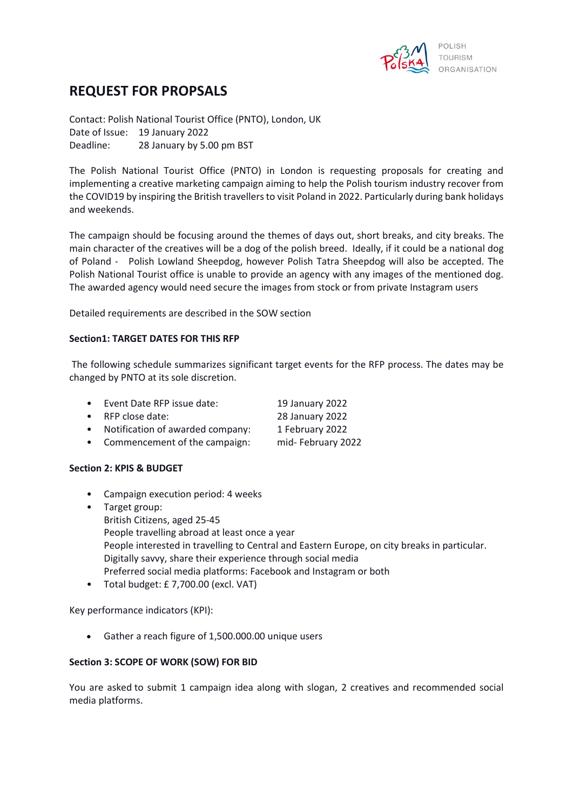

# **REQUEST FOR PROPSALS**

Contact: Polish National Tourist Office (PNTO), London, UK Date of Issue: 19 January 2022 Deadline: 28 January by 5.00 pm BST

The Polish National Tourist Office (PNTO) in London is requesting proposals for creating and implementing a creative marketing campaign aiming to help the Polish tourism industry recover from the COVID19 by inspiring the British travellers to visit Poland in 2022. Particularly during bank holidays and weekends.

The campaign should be focusing around the themes of days out, short breaks, and city breaks. The main character of the creatives will be a dog of the polish breed. Ideally, if it could be a national dog of Poland - Polish Lowland Sheepdog, however Polish Tatra Sheepdog will also be accepted. The Polish National Tourist office is unable to provide an agency with any images of the mentioned dog. The awarded agency would need secure the images from stock or from private Instagram users

Detailed requirements are described in the SOW section

# **Section1: TARGET DATES FOR THIS RFP**

The following schedule summarizes significant target events for the RFP process. The dates may be changed by PNTO at its sole discretion.

- Event Date RFP issue date: 19 January 2022
- RFP close date: 28 January 2022
- Notification of awarded company: 1 February 2022
- Commencement of the campaign: mid- February 2022

### **Section 2: KPIS & BUDGET**

- Campaign execution period: 4 weeks
- Target group: British Citizens, aged 25-45 People travelling abroad at least once a year People interested in travelling to Central and Eastern Europe, on city breaks in particular. Digitally savvy, share their experience through social media Preferred social media platforms: Facebook and Instagram or both
- Total budget: £ 7,700.00 (excl. VAT)

Key performance indicators (KPI):

• Gather a reach figure of 1,500.000.00 unique users

#### **Section 3: SCOPE OF WORK (SOW) FOR BID**

You are asked to submit 1 campaign idea along with slogan, 2 creatives and recommended social media platforms.